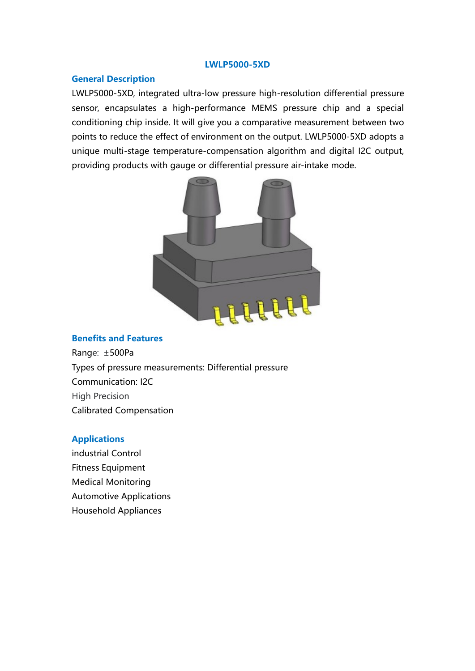### LWLP5000-5XD

LWLP5000-5XD<br>
Ceneral Description<br>
LWLP5000-5XD, integrated ultra-low pressure high-resolution differential<br>
sensor, encapsulates a high-performance MEMS pressure chip and a<br>
conditioning chip inside. It will give you a co LWLP5000-5XD<br>
LWLP5000-5XD, integrated ultra-low pressure high-resolution differential pressure<br>
sensor, encapsulates a high-performance MEMS pressure chip and a special<br>
conditioning chip inside. It will give you a compar **Seneral Description**<br> **EWLP5000-5XD**<br> **EWLP5000-5XD**, integrated ultra-low pressure high-resolution differential pressure<br>
sensor, encapsulates a high-performance MEMS pressure chip and a special<br>
conditioning chip inside **Conditioning Conditioning Conditioning chip inside.**<br>Conditioning chip inside. It will give you a comparative measurement between two<br>points to reduce the effect of environment on the output. LWLP5000-5XD adopts a<br>unique **EWLP5000-5XD**<br> **EXALP5000-5XD**<br> **EXALP5000-5XD**, integrated ultra-low pressure high-resolution differential pressure<br>
sensor, encapsulates a high-performance MEMS pressure chip and a special<br>
conditioning chip inside. It UWLP5000-5XD<br>
UMLP5000-5XD<br>
UMLP5000-5XD, integrated ultra-low pressure high-resolution differential pressure<br>
sensor, encapsulates a high-performance MEMS pressure chip and a special<br>
conditioning chip inside. It will giv **EXALT CONDUM CONDUM CONDUM CONDUM CONDUM CONDUM CONDUPS000-SXD**<br> **EXALT PROVIDE SERVIDE SERVIDE SERVIDE SERVIDE SERVIDE SERVIDE SURFERENT SPECIES**<br> **EXALT CONDUCT SERVIDE SERVIDE OR A SERVIDE SURFERENT SPECIES**<br> **EXALT CO** 



Benefits and Features<br>
Range: ±500Pa<br>
Types of pressure measurements: Differential pressure<br>
Communication: 12C<br>
High Precision<br>
Calibrated Compensation<br>
Applications<br>
Medical Monitoring<br>
Automotive Applications<br>
Household Benefits and Features<br>
Range: ±500Pa<br>
Types of pressure measurements: Differential pressure<br>
Communication: I2C<br>
High Precision<br>
Calibrated Compensation<br>
Applications<br>
Industrial Control<br>
Fitness Equipment<br>
Medical Monitor Benefits and Features<br>
Range: ±500Pa<br>
Types of pressure measurements: Differential pressure<br>
Communication: I2C<br>
Communication:<br>
Calibrated Compensation<br>
Applications<br>
Industrial Control<br>
Fitness Equipment<br>
Medical Monitor Benefits and Features<br>
Range: ±500Pa<br>
Types of pressure measurements: Differential pressure<br>
Communication: I2C<br>
High Precision<br>
Calibrated Compensation<br>
Applications<br>
Applications<br>
Household Applications<br>
Household Applia

## Applications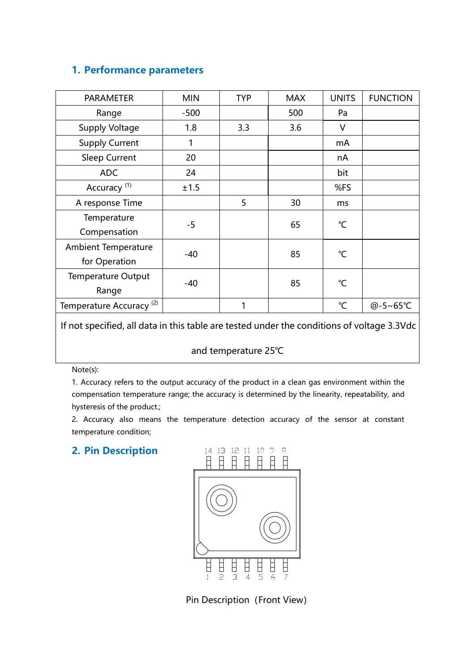| 1. Performance parameters                                                                                          |              |                      |            |                     |                 |
|--------------------------------------------------------------------------------------------------------------------|--------------|----------------------|------------|---------------------|-----------------|
| PARAMETER                                                                                                          | <b>MIN</b>   | <b>TYP</b>           | <b>MAX</b> | <b>UNITS</b>        | <b>FUNCTION</b> |
| Range                                                                                                              | $-500$       |                      | 500        | Pa                  |                 |
| Supply Voltage                                                                                                     | 1.8          | 3.3                  | 3.6        | $\vee$              |                 |
| <b>Supply Current</b>                                                                                              | $\mathbf{1}$ |                      |            | mA                  |                 |
| Sleep Current                                                                                                      | 20           |                      |            | nA                  |                 |
| <b>ADC</b>                                                                                                         | 24           |                      |            | bit                 |                 |
| Accuracy <sup>(1)</sup>                                                                                            | ±1.5         |                      |            | %FS                 |                 |
| A response Time                                                                                                    |              | 5                    | 30         | ms                  |                 |
| Temperature                                                                                                        |              |                      |            |                     |                 |
| Compensation                                                                                                       | $-5$         |                      | 65         | $^{\circ}$ C        |                 |
| <b>Ambient Temperature</b>                                                                                         |              |                      | 85         | $^{\circ}$ C        |                 |
| for Operation                                                                                                      | $-40$        |                      |            |                     |                 |
| Temperature Output                                                                                                 | $-40$        |                      | 85         | $^{\circ}\!{\rm C}$ |                 |
| Range                                                                                                              |              |                      |            |                     |                 |
| Temperature Accuracy <sup>(2)</sup>                                                                                |              | 1                    |            | $\mathrm{C}$        | @-5~65℃         |
| If not specified, all data in this table are tested under the conditions of voltage 3.3Vdc                         |              |                      |            |                     |                 |
|                                                                                                                    |              |                      |            |                     |                 |
|                                                                                                                    |              | and temperature 25°C |            |                     |                 |
| Note(s):                                                                                                           |              |                      |            |                     |                 |
| 1. Accuracy refers to the output accuracy of the product in a clean gas environment within the                     |              |                      |            |                     |                 |
| compensation temperature range; the accuracy is determined by the linearity, repeatability, and                    |              |                      |            |                     |                 |
| hysteresis of the product.;<br>2. Accuracy also means the temperature detection accuracy of the sensor at constant |              |                      |            |                     |                 |
| temperature condition;                                                                                             |              |                      |            |                     |                 |
| 2. Pin Description                                                                                                 |              | 14 13 12 11          |            |                     |                 |
|                                                                                                                    |              | В<br>H<br>E<br>Ħ     | Ħ<br>Ħ     |                     |                 |
|                                                                                                                    |              |                      |            |                     |                 |
|                                                                                                                    |              |                      |            |                     |                 |
|                                                                                                                    |              |                      |            |                     |                 |

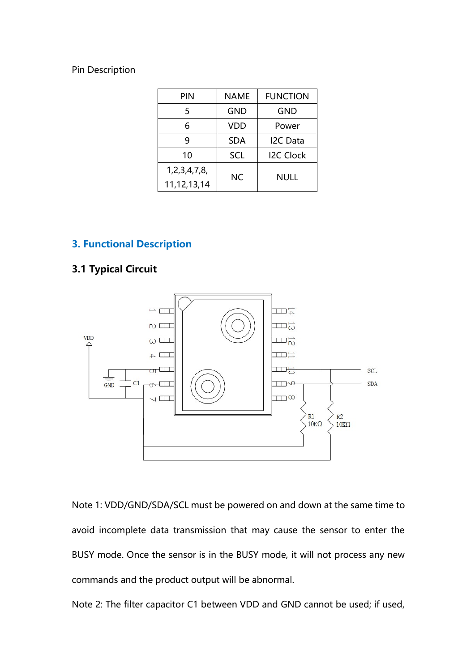| <b>FUNCTION</b><br>NAME<br>PIN<br>$\overline{5}$<br>GND<br>GND<br>$\boldsymbol{6}$<br>VDD<br>Power<br>$\boldsymbol{9}$<br>$\sf SDA$<br>I2C Data<br>$10\,$<br>I2C Clock<br>SCL<br>1,2,3,4,7,8,<br>${\sf NC}$<br><b>NULL</b><br>11,12,13,14 |                 |  |  |
|-------------------------------------------------------------------------------------------------------------------------------------------------------------------------------------------------------------------------------------------|-----------------|--|--|
|                                                                                                                                                                                                                                           |                 |  |  |
|                                                                                                                                                                                                                                           |                 |  |  |
|                                                                                                                                                                                                                                           |                 |  |  |
|                                                                                                                                                                                                                                           |                 |  |  |
|                                                                                                                                                                                                                                           |                 |  |  |
|                                                                                                                                                                                                                                           |                 |  |  |
|                                                                                                                                                                                                                                           |                 |  |  |
|                                                                                                                                                                                                                                           |                 |  |  |
|                                                                                                                                                                                                                                           | Pin Description |  |  |
|                                                                                                                                                                                                                                           |                 |  |  |
|                                                                                                                                                                                                                                           |                 |  |  |
|                                                                                                                                                                                                                                           |                 |  |  |
|                                                                                                                                                                                                                                           |                 |  |  |
|                                                                                                                                                                                                                                           |                 |  |  |
|                                                                                                                                                                                                                                           |                 |  |  |
|                                                                                                                                                                                                                                           |                 |  |  |
|                                                                                                                                                                                                                                           |                 |  |  |
|                                                                                                                                                                                                                                           |                 |  |  |
|                                                                                                                                                                                                                                           |                 |  |  |
| <b>3. Functional Description</b>                                                                                                                                                                                                          |                 |  |  |
| <b>3.1 Typical Circuit</b>                                                                                                                                                                                                                |                 |  |  |
|                                                                                                                                                                                                                                           |                 |  |  |



Note 1: VDD/GND/SDA/SCL must be powered on and down at the same time to<br>Note 1: VDD/GND/SDA/SCL must be powered on and down at the same time to<br>avoid incomplete data transmission that may cause the sensor to enter the<br>BUS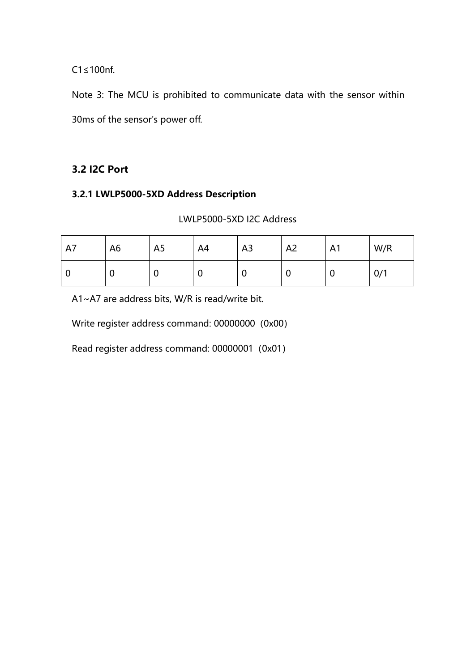$C1 \le 100$ nf.<br>Note 3: The MCU is prohibited to communicate data with the sensor within<br>30ms of the sensor's power off. C1≤100nf.<br>Note 3: The MCU is prohibited to communicate data with the sensor within<br>30ms of the sensor's power off.<br>3.2 I2C Port C1≤100nf.<br>
Note 3: The MCU is prohibited to communicate data with the sensor<br>
30ms of the sensor's power off.<br> **3.2 I2C Port**<br> **3.2.1 LWLP5000-5XD Address Description**<br>
LWLP5000-5XD I2C Address  $C1 \le 100$ nf.<br>
Note 3: The MCU is prohibited to communicate data with the sensor within<br>
30ms of the sensor's power off.<br>
3.2.1 LWLP5000-5XD Address Description<br>
LWLP5000-5XD I2C Address<br>
7.

| LWLP5000-5XD I2C Address |  |
|--------------------------|--|
|                          |  |

|           | $C1 \leq 100$ nf.                               |                |                          |                |                |                |                                                                          |
|-----------|-------------------------------------------------|----------------|--------------------------|----------------|----------------|----------------|--------------------------------------------------------------------------|
|           |                                                 |                |                          |                |                |                | Note 3: The MCU is prohibited to communicate data with the sensor within |
|           | 30ms of the sensor's power off.                 |                |                          |                |                |                |                                                                          |
|           | 3.2 I2C Port                                    |                |                          |                |                |                |                                                                          |
|           | 3.2.1 LWLP5000-5XD Address Description          |                |                          |                |                |                |                                                                          |
|           |                                                 |                | LWLP5000-5XD I2C Address |                |                |                |                                                                          |
| A7        | A <sub>6</sub>                                  | A <sub>5</sub> | A4                       | A <sub>3</sub> | A <sub>2</sub> | A <sub>1</sub> | W/R                                                                      |
| $\pmb{0}$ | $\mathbf 0$                                     | $\mathbf 0$    | $\mathbf 0$              | $\mathbf 0$    | $\mathbf 0$    | $\pmb{0}$      | 0/1                                                                      |
|           | A1~A7 are address bits, W/R is read/write bit.  |                |                          |                |                |                |                                                                          |
|           | Write register address command: 00000000 (0x00) |                |                          |                |                |                |                                                                          |
|           | Read register address command: 00000001 (0x01)  |                |                          |                |                |                |                                                                          |
|           |                                                 |                |                          |                |                |                |                                                                          |
|           |                                                 |                |                          |                |                |                |                                                                          |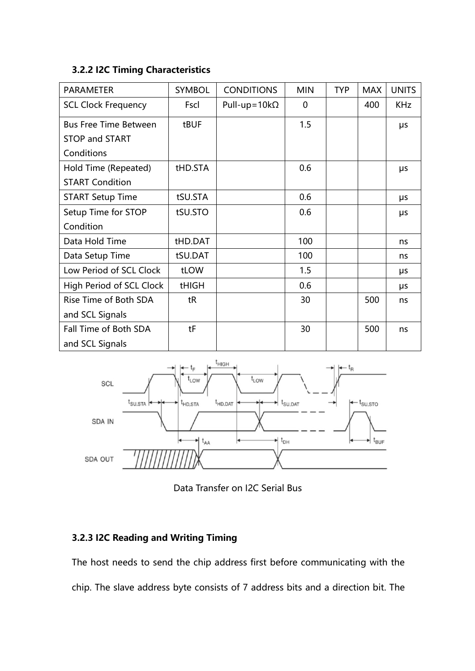| 3.2.2 I2C Timing Characteristics                  |         |                      |             |            |            |              |
|---------------------------------------------------|---------|----------------------|-------------|------------|------------|--------------|
|                                                   |         |                      |             |            |            |              |
| PARAMETER                                         | SYMBOL  | <b>CONDITIONS</b>    | <b>MIN</b>  | <b>TYP</b> | <b>MAX</b> | <b>UNITS</b> |
| <b>SCL Clock Frequency</b>                        | Fscl    | Pull-up=10k $\Omega$ | $\mathbf 0$ |            | 400        | <b>KHz</b>   |
| <b>Bus Free Time Between</b>                      | tBUF    |                      | 1.5         |            |            | μs           |
| STOP and START                                    |         |                      |             |            |            |              |
| Conditions                                        |         |                      |             |            |            |              |
| Hold Time (Repeated)                              | tHD.STA |                      | 0.6         |            |            | μs           |
| <b>START Condition</b>                            |         |                      |             |            |            |              |
| <b>START Setup Time</b>                           | tSU.STA |                      | 0.6         |            |            | μs           |
| Setup Time for STOP                               | tSU.STO |                      | 0.6         |            |            | μs           |
| Condition                                         |         |                      |             |            |            |              |
| Data Hold Time                                    | tHD.DAT |                      | 100         |            |            | ns           |
| Data Setup Time                                   | tSU.DAT |                      | 100         |            |            | ns           |
| Low Period of SCL Clock                           | tLOW    |                      | 1.5         |            |            | μs           |
|                                                   | tHIGH   |                      | 0.6         |            |            | μs           |
|                                                   |         |                      | 30          |            | 500        | ns           |
| High Period of SCL Clock<br>Rise Time of Both SDA | tR      |                      |             |            |            |              |
|                                                   |         |                      |             |            |            |              |
| and SCL Signals<br>Fall Time of Both SDA          | tF      |                      | 30          |            | 500        | ns           |

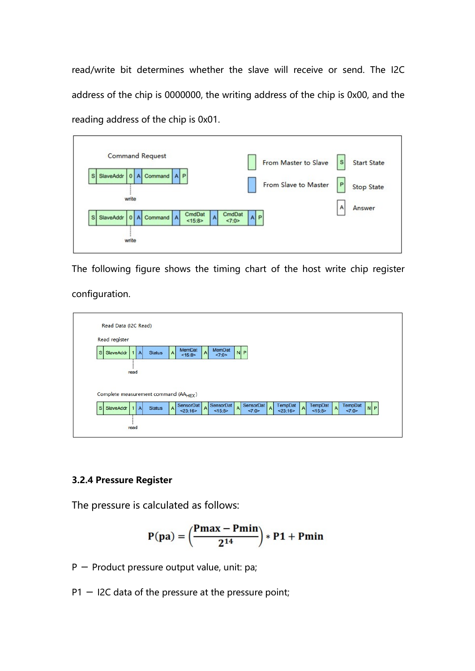read/write bit determines whether the slave will receive or send. The I2C<br>address of the chip is 0000000, the writing address of the chip is 0x00, and the<br>reading address of the chip is 0x01. read/write bit determines whether the slave will receive or send. The I2C<br>address of the chip is 0000000, the writing address of the chip is 0x00, and the<br>reading address of the chip is 0x01. read/write bit determines whether the slave will receive or send. The I2C<br>address of the chip is 0000000, the writing address of the chip is 0x00, and the<br>reading address of the chip is 0x01.<br>Command Request<br>From Master to



| configuration.                                                                                                                                                                      |  |
|-------------------------------------------------------------------------------------------------------------------------------------------------------------------------------------|--|
| Read Data (I2C Read)                                                                                                                                                                |  |
| Read register                                                                                                                                                                       |  |
| MemDat<br>MemDat<br>$N$ $P$<br>S SlaveAddr<br><b>Status</b><br>Α<br>27:0><br><15:8>                                                                                                 |  |
| read                                                                                                                                                                                |  |
| Complete measurement command (AA <sub>HFX</sub> )                                                                                                                                   |  |
| SensorDat<br>SensorDat<br>SensorDat<br>TempDat<br>TempDat<br><b>TempDat</b><br>s<br>$N$ $P$<br>SlaveAddr<br><b>Status</b><br>23:16<br><15:8><br>27:0><br>< 23:16<br><15:8><br><7:0> |  |
| read                                                                                                                                                                                |  |
| 3.2.4 Pressure Register<br>The pressure is calculated as follows:                                                                                                                   |  |
| $P(pa) = \left(\frac{Pmax - Pmin}{2^{14}}\right) * P1 + Pmin$                                                                                                                       |  |
| P - Product pressure output value, unit: pa;                                                                                                                                        |  |
| $P1 - I2C$ data of the pressure at the pressure point;                                                                                                                              |  |
|                                                                                                                                                                                     |  |
|                                                                                                                                                                                     |  |
|                                                                                                                                                                                     |  |

$$
P(pa)=\left(\frac{Pmax-Pmin}{2^{14}}\right)*P1+Pmin
$$

- 
-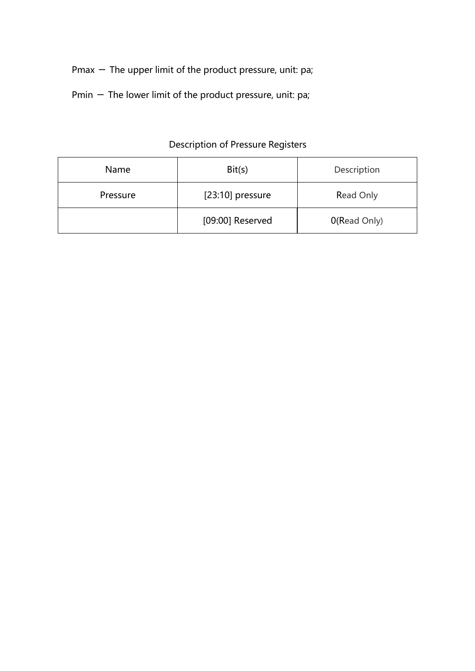- Pmax The upper limit of the product pressure, unit: pa;<br>Pmin The lower limit of the product pressure, unit: pa; Pmax — The upper limit of the product pressure, unit: pa;<br>Pmin — The lower limit of the product pressure, unit: pa;<br>Description of Pressure Registers
- 

|          | Pmax $-$ The upper limit of the product pressure, unit: pa; |              |
|----------|-------------------------------------------------------------|--------------|
|          | Pmin - The lower limit of the product pressure, unit: pa;   |              |
|          |                                                             |              |
|          | Description of Pressure Registers                           |              |
| Name     | Bit(s)                                                      | Description  |
| Pressure | [23:10] pressure                                            | Read Only    |
|          | [09:00] Reserved                                            | 0(Read Only) |
|          |                                                             |              |
|          |                                                             |              |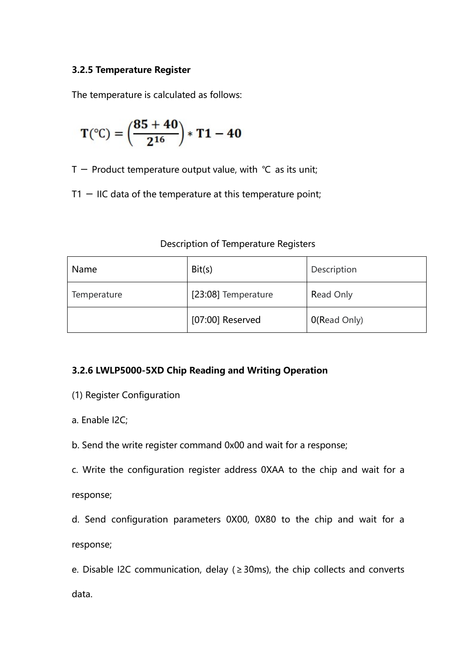3.2.5 Temperature Register<br>The temperature is calculated as follows:<br> $(25 + 40)$ 

3.2.5 Temperature Register\nThe temperature is calculated as follows:\n
$$
T({}^{\circ}C) = \left(\frac{85 + 40}{2^{16}}\right) * T1 - 40
$$
\n
$$
T - \text{Product temperature output value, with } {}^{\circ}C \text{ as its unit};
$$
\n
$$
T1 - IIC \text{ data of the temperature at this temperature point};
$$
\n
$$
\text{Description of Temperature registers}
$$

| 3.2.5 Temperature Register                                     |                                                                             |                  |  |
|----------------------------------------------------------------|-----------------------------------------------------------------------------|------------------|--|
| The temperature is calculated as follows:                      |                                                                             |                  |  |
| $T({}^{\circ}C) = \left(\frac{85+40}{2^{16}}\right) * T1 - 40$ |                                                                             |                  |  |
|                                                                | T - Product temperature output value, with $\degree$ C as its unit;         |                  |  |
|                                                                | $T1 - IIC$ data of the temperature at this temperature point;               |                  |  |
|                                                                |                                                                             |                  |  |
|                                                                | Description of Temperature Registers                                        |                  |  |
| Name                                                           | Bit(s)                                                                      | Description      |  |
| Temperature                                                    | [23:08] Temperature                                                         | <b>Read Only</b> |  |
|                                                                | $[07:00]$ Reserved                                                          | 0(Read Only)     |  |
|                                                                |                                                                             |                  |  |
|                                                                | 3.2.6 LWLP5000-5XD Chip Reading and Writing Operation                       |                  |  |
| (1) Register Configuration                                     |                                                                             |                  |  |
| a. Enable I2C;                                                 |                                                                             |                  |  |
|                                                                | b. Send the write register command 0x00 and wait for a response;            |                  |  |
|                                                                | c. Write the configuration register address 0XAA to the chip and wait for a |                  |  |
| response;                                                      |                                                                             |                  |  |
|                                                                | d. Send configuration parameters 0X00, 0X80 to the chip and wait for a      |                  |  |

- 
- 
- 
- 
- response;

**EXECT CONFIGURATE:**<br> **CONFIGURATE:**<br> **CONFIGURATE:**<br> **CONFIGURATE:**<br> **CONFIGURATE:**<br> **CONFIGURATE:**<br> **CONFIGURATE:**<br> **CONFIGURATE:**<br> **CONFIGURATE:**<br> **CONFIGURATE:**<br> **CONFIGURATE:**<br> **CONFIGURATE:**<br> **CONFIGURATE:**<br> **CONFIG** response; **3.2.6 LWLP5000-5XD Chip Reading and Writing Operation**<br>(1) Register Configuration<br>a. Enable I2C;<br>b. Send the write register command 0x00 and wait for a response;<br>c. Write the configuration register address 0XAA to the ch

data.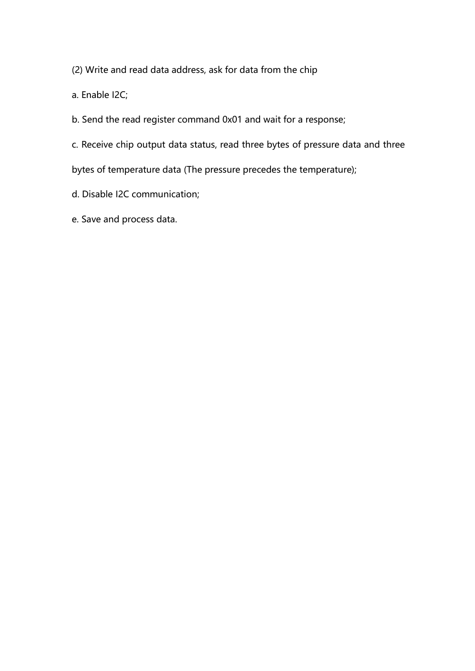- (2) Write and read data address, ask for data from the chip<br>a. Enable I2C;<br>b. Send the read register command 0x01 and wait for a response;
- (2) Write and read data address, ask for data from the chip<br>a. Enable I2C;<br>b. Send the read register command 0x01 and wait for a response;<br>c. Receive chip output data status, read three bytes of pressure data ar (2) Write and read data address, ask for data from the chip<br>a. Enable I2C;<br>b. Send the read register command 0x01 and wait for a response;<br>c. Receive chip output data status, read three bytes of pressure data and three<br>by (2) Write and read data address, ask for data from the chip<br>a. Enable l2C;<br>b. Send the read register command 0x01 and wait for a response;<br>c. Receive chip output data status, read three bytes of pressure data and three<br>byt (2) Write and read data address, ask for data from the chip<br>a. Enable l2C;<br>b. Send the read register command 0x01 and wait for a response;<br>c. Receive chip output data status, read three bytes of pressure data and three<br>byt (2) Write and read data address, ask for data from the chip<br>a. Enable I2C;<br>b. Send the read register command 0x01 and wait for a response;<br>c. Receive chip output data status, read three bytes of pressure data and th<br>bytes (2) Write and read data address, ask for data from the chip<br>a. Enable l2C;<br>b. Send the read register command 0x01 and wait for a response;<br>c. Receive chip output data status, read three bytes of pressure data and three<br>byt

- 
-